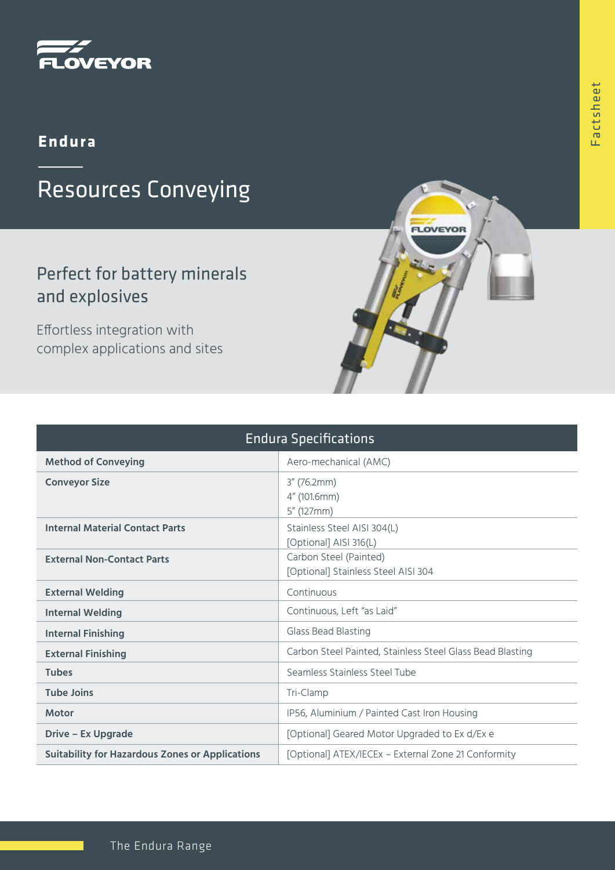

### **Endura**

# Resources Conveying

## Perfect for battery minerals and explosives

Effortless integration with complex applications and sites

| <b>Endura Specifications</b>                           |                                                               |
|--------------------------------------------------------|---------------------------------------------------------------|
| <b>Method of Conveying</b>                             | Aero-mechanical (AMC)                                         |
| <b>Conveyor Size</b>                                   | $3''$ (76.2mm)<br>4" (101.6mm)<br>5" (127mm)                  |
| <b>Internal Material Contact Parts</b>                 | Stainless Steel AISI 304(L)<br>[Optional] AISI 316(L)         |
| <b>External Non-Contact Parts</b>                      | Carbon Steel (Painted)<br>[Optional] Stainless Steel AISI 304 |
| <b>External Welding</b>                                | Continuous                                                    |
| <b>Internal Welding</b>                                | Continuous, Left "as Laid"                                    |
| <b>Internal Finishing</b>                              | Glass Bead Blasting                                           |
| <b>External Finishing</b>                              | Carbon Steel Painted, Stainless Steel Glass Bead Blasting     |
| <b>Tubes</b>                                           | Seamless Stainless Steel Tube                                 |
| <b>Tube Joins</b>                                      | Tri-Clamp                                                     |
| <b>Motor</b>                                           | IP56, Aluminium / Painted Cast Iron Housing                   |
| Drive – Ex Upgrade                                     | [Optional] Geared Motor Upgraded to Ex d/Ex e                 |
| <b>Suitability for Hazardous Zones or Applications</b> | [Optional] ATEX/IECEx - External Zone 21 Conformity           |

LOVEYOR